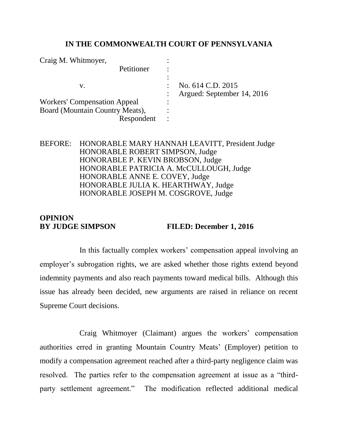#### **IN THE COMMONWEALTH COURT OF PENNSYLVANIA**

| Craig M. Whitmover,                 |                            |
|-------------------------------------|----------------------------|
| Petitioner                          |                            |
|                                     |                            |
| v.                                  | No. 614 C.D. 2015          |
|                                     | Argued: September 14, 2016 |
| <b>Workers' Compensation Appeal</b> |                            |
| Board (Mountain Country Meats),     |                            |
| Respondent                          |                            |

## BEFORE: HONORABLE MARY HANNAH LEAVITT, President Judge HONORABLE ROBERT SIMPSON, Judge HONORABLE P. KEVIN BROBSON, Judge HONORABLE PATRICIA A. McCULLOUGH, Judge HONORABLE ANNE E. COVEY, Judge HONORABLE JULIA K. HEARTHWAY, Judge HONORABLE JOSEPH M. COSGROVE, Judge

# **OPINION BY JUDGE SIMPSON FILED: December 1, 2016**

In this factually complex workers' compensation appeal involving an employer's subrogation rights, we are asked whether those rights extend beyond indemnity payments and also reach payments toward medical bills. Although this issue has already been decided, new arguments are raised in reliance on recent Supreme Court decisions.

Craig Whitmoyer (Claimant) argues the workers' compensation authorities erred in granting Mountain Country Meats' (Employer) petition to modify a compensation agreement reached after a third-party negligence claim was resolved. The parties refer to the compensation agreement at issue as a "thirdparty settlement agreement." The modification reflected additional medical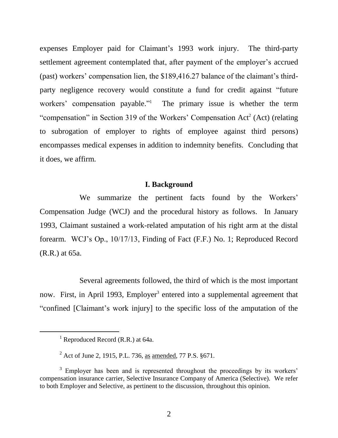expenses Employer paid for Claimant's 1993 work injury. The third-party settlement agreement contemplated that, after payment of the employer's accrued (past) workers' compensation lien, the \$189,416.27 balance of the claimant's thirdparty negligence recovery would constitute a fund for credit against "future workers' compensation payable." 1 The primary issue is whether the term "compensation" in Section 319 of the Workers' Compensation Act<sup>2</sup> (Act) (relating to subrogation of employer to rights of employee against third persons) encompasses medical expenses in addition to indemnity benefits. Concluding that it does, we affirm.

#### **I. Background**

We summarize the pertinent facts found by the Workers' Compensation Judge (WCJ) and the procedural history as follows. In January 1993, Claimant sustained a work-related amputation of his right arm at the distal forearm. WCJ's Op., 10/17/13, Finding of Fact (F.F.) No. 1; Reproduced Record (R.R.) at 65a.

Several agreements followed, the third of which is the most important now. First, in April 1993, Employer<sup>3</sup> entered into a supplemental agreement that "confined [Claimant's work injury] to the specific loss of the amputation of the

 $\overline{a}$ 

<sup>&</sup>lt;sup>1</sup> Reproduced Record (R.R.) at 64a.

<sup>2</sup> Act of June 2, 1915, P.L. 736, as amended, 77 P.S. §671.

<sup>&</sup>lt;sup>3</sup> Employer has been and is represented throughout the proceedings by its workers' compensation insurance carrier, Selective Insurance Company of America (Selective). We refer to both Employer and Selective, as pertinent to the discussion, throughout this opinion.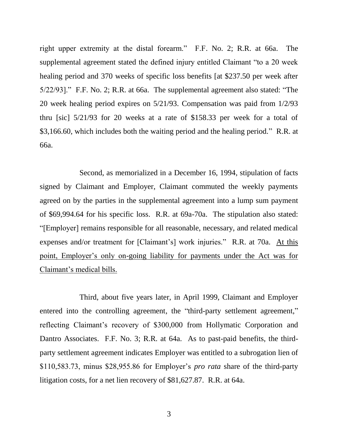right upper extremity at the distal forearm." F.F. No. 2; R.R. at 66a. The supplemental agreement stated the defined injury entitled Claimant "to a 20 week healing period and 370 weeks of specific loss benefits [at \$237.50 per week after 5/22/93]." F.F. No. 2; R.R. at 66a. The supplemental agreement also stated: "The 20 week healing period expires on 5/21/93. Compensation was paid from 1/2/93 thru [sic] 5/21/93 for 20 weeks at a rate of \$158.33 per week for a total of \$3,166.60, which includes both the waiting period and the healing period." R.R. at 66a.

Second, as memorialized in a December 16, 1994, stipulation of facts signed by Claimant and Employer, Claimant commuted the weekly payments agreed on by the parties in the supplemental agreement into a lump sum payment of \$69,994.64 for his specific loss. R.R. at 69a-70a. The stipulation also stated: "[Employer] remains responsible for all reasonable, necessary, and related medical expenses and/or treatment for [Claimant's] work injuries." R.R. at 70a. At this point, Employer's only on-going liability for payments under the Act was for Claimant's medical bills.

Third, about five years later, in April 1999, Claimant and Employer entered into the controlling agreement, the "third-party settlement agreement," reflecting Claimant's recovery of \$300,000 from Hollymatic Corporation and Dantro Associates. F.F. No. 3; R.R. at 64a. As to past-paid benefits, the thirdparty settlement agreement indicates Employer was entitled to a subrogation lien of \$110,583.73, minus \$28,955.86 for Employer's *pro rata* share of the third-party litigation costs, for a net lien recovery of \$81,627.87. R.R. at 64a.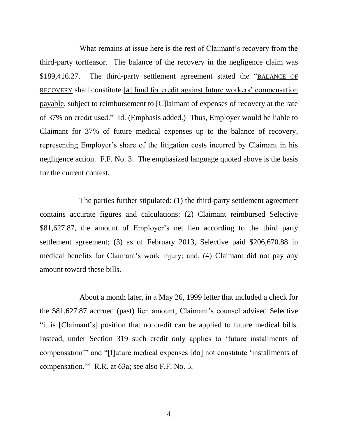What remains at issue here is the rest of Claimant's recovery from the third-party tortfeasor. The balance of the recovery in the negligence claim was \$189,416.27. The third-party settlement agreement stated the "BALANCE OF RECOVERY shall constitute [a] fund for credit against future workers' compensation payable, subject to reimbursement to [C]laimant of expenses of recovery at the rate of 37% on credit used." Id. (Emphasis added.) Thus, Employer would be liable to Claimant for 37% of future medical expenses up to the balance of recovery, representing Employer's share of the litigation costs incurred by Claimant in his negligence action. F.F. No. 3. The emphasized language quoted above is the basis for the current contest.

The parties further stipulated: (1) the third-party settlement agreement contains accurate figures and calculations; (2) Claimant reimbursed Selective \$81,627.87, the amount of Employer's net lien according to the third party settlement agreement; (3) as of February 2013, Selective paid \$206,670.88 in medical benefits for Claimant's work injury; and, (4) Claimant did not pay any amount toward these bills.

About a month later, in a May 26, 1999 letter that included a check for the \$81,627.87 accrued (past) lien amount, Claimant's counsel advised Selective "it is [Claimant's] position that no credit can be applied to future medical bills. Instead, under Section 319 such credit only applies to 'future installments of compensation'" and "[f]uture medical expenses [do] not constitute 'installments of compensation.'" R.R. at 63a; see also F.F. No. 5.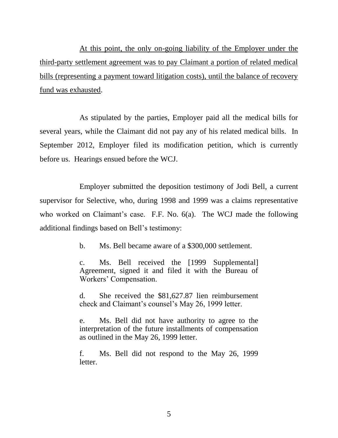At this point, the only on-going liability of the Employer under the third-party settlement agreement was to pay Claimant a portion of related medical bills (representing a payment toward litigation costs), until the balance of recovery fund was exhausted.

As stipulated by the parties, Employer paid all the medical bills for several years, while the Claimant did not pay any of his related medical bills. In September 2012, Employer filed its modification petition, which is currently before us. Hearings ensued before the WCJ.

Employer submitted the deposition testimony of Jodi Bell, a current supervisor for Selective, who, during 1998 and 1999 was a claims representative who worked on Claimant's case. F.F. No. 6(a). The WCJ made the following additional findings based on Bell's testimony:

b. Ms. Bell became aware of a \$300,000 settlement.

c. Ms. Bell received the [1999 Supplemental] Agreement, signed it and filed it with the Bureau of Workers' Compensation.

d. She received the \$81,627.87 lien reimbursement check and Claimant's counsel's May 26, 1999 letter.

e. Ms. Bell did not have authority to agree to the interpretation of the future installments of compensation as outlined in the May 26, 1999 letter.

f. Ms. Bell did not respond to the May 26, 1999 letter.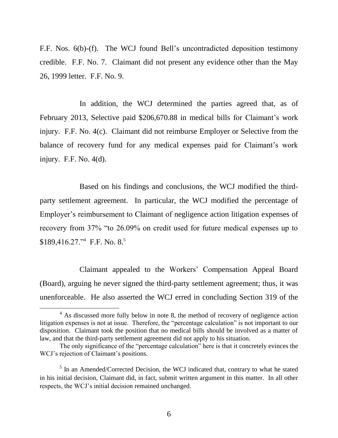F.F. Nos. 6(b)-(f). The WCJ found Bell's uncontradicted deposition testimony credible. F.F. No. 7. Claimant did not present any evidence other than the May 26, 1999 letter. F.F. No. 9.

In addition, the WCJ determined the parties agreed that, as of February 2013, Selective paid \$206,670.88 in medical bills for Claimant's work injury. F.F. No. 4(c). Claimant did not reimburse Employer or Selective from the balance of recovery fund for any medical expenses paid for Claimant's work injury. F.F. No. 4(d).

Based on his findings and conclusions, the WCJ modified the thirdparty settlement agreement. In particular, the WCJ modified the percentage of Employer's reimbursement to Claimant of negligence action litigation expenses of recovery from 37% "to 26.09% on credit used for future medical expenses up to \$189,416.27." F.F. No. 8.<sup>5</sup>

Claimant appealed to the Workers' Compensation Appeal Board (Board), arguing he never signed the third-party settlement agreement; thus, it was unenforceable. He also asserted the WCJ erred in concluding Section 319 of the

 $\overline{a}$ 

<sup>&</sup>lt;sup>4</sup> As discussed more fully below in note 8, the method of recovery of negligence action litigation expenses is not at issue. Therefore, the "percentage calculation" is not important to our disposition. Claimant took the position that no medical bills should be involved as a matter of law, and that the third-party settlement agreement did not apply to his situation.

The only significance of the "percentage calculation" here is that it concretely evinces the WCJ's rejection of Claimant's positions.

<sup>&</sup>lt;sup>5</sup> In an Amended/Corrected Decision, the WCJ indicated that, contrary to what he stated in his initial decision, Claimant did, in fact, submit written argument in this matter. In all other respects, the WCJ's initial decision remained unchanged.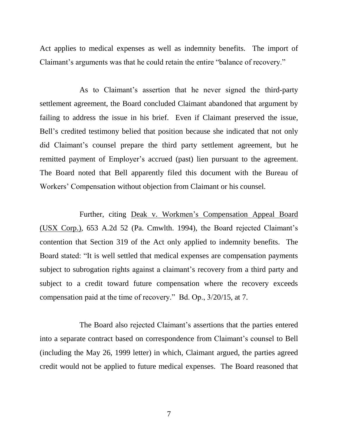Act applies to medical expenses as well as indemnity benefits. The import of Claimant's arguments was that he could retain the entire "balance of recovery."

As to Claimant's assertion that he never signed the third-party settlement agreement, the Board concluded Claimant abandoned that argument by failing to address the issue in his brief. Even if Claimant preserved the issue, Bell's credited testimony belied that position because she indicated that not only did Claimant's counsel prepare the third party settlement agreement, but he remitted payment of Employer's accrued (past) lien pursuant to the agreement. The Board noted that Bell apparently filed this document with the Bureau of Workers' Compensation without objection from Claimant or his counsel.

Further, citing Deak v. Workmen's Compensation Appeal Board (USX Corp.), 653 A.2d 52 (Pa. Cmwlth. 1994), the Board rejected Claimant's contention that Section 319 of the Act only applied to indemnity benefits. The Board stated: "It is well settled that medical expenses are compensation payments subject to subrogation rights against a claimant's recovery from a third party and subject to a credit toward future compensation where the recovery exceeds compensation paid at the time of recovery." Bd. Op., 3/20/15, at 7.

The Board also rejected Claimant's assertions that the parties entered into a separate contract based on correspondence from Claimant's counsel to Bell (including the May 26, 1999 letter) in which, Claimant argued, the parties agreed credit would not be applied to future medical expenses. The Board reasoned that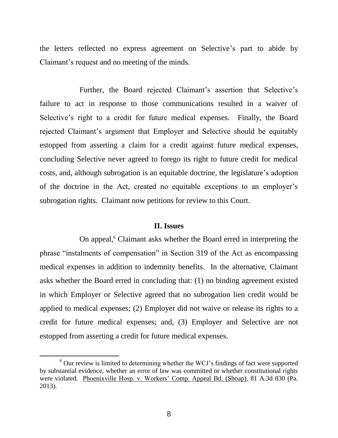the letters reflected no express agreement on Selective's part to abide by Claimant's request and no meeting of the minds.

Further, the Board rejected Claimant's assertion that Selective's failure to act in response to those communications resulted in a waiver of Selective's right to a credit for future medical expenses. Finally, the Board rejected Claimant's argument that Employer and Selective should be equitably estopped from asserting a claim for a credit against future medical expenses, concluding Selective never agreed to forego its right to future credit for medical costs, and, although subrogation is an equitable doctrine, the legislature's adoption of the doctrine in the Act, created no equitable exceptions to an employer's subrogation rights. Claimant now petitions for review to this Court.

#### **II. Issues**

On appeal,<sup>6</sup> Claimant asks whether the Board erred in interpreting the phrase "instalments of compensation" in Section 319 of the Act as encompassing medical expenses in addition to indemnity benefits. In the alternative, Claimant asks whether the Board erred in concluding that: (1) no binding agreement existed in which Employer or Selective agreed that no subrogation lien credit would be applied to medical expenses; (2) Employer did not waive or release its rights to a credit for future medical expenses; and, (3) Employer and Selective are not estopped from asserting a credit for future medical expenses.

l

 $6$  Our review is limited to determining whether the WCJ's findings of fact were supported by substantial evidence, whether an error of law was committed or whether constitutional rights were violated. Phoenixville Hosp. v. Workers' Comp. Appeal Bd. (Shoap), 81 A.3d 830 (Pa. 2013).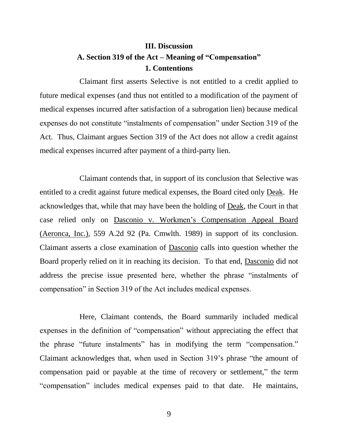# **III. Discussion A. Section 319 of the Act – Meaning of "Compensation" 1. Contentions**

Claimant first asserts Selective is not entitled to a credit applied to future medical expenses (and thus not entitled to a modification of the payment of medical expenses incurred after satisfaction of a subrogation lien) because medical expenses do not constitute "instalments of compensation" under Section 319 of the Act. Thus, Claimant argues Section 319 of the Act does not allow a credit against medical expenses incurred after payment of a third-party lien.

Claimant contends that, in support of its conclusion that Selective was entitled to a credit against future medical expenses, the Board cited only Deak. He acknowledges that, while that may have been the holding of Deak, the Court in that case relied only on Dasconio v. Workmen's Compensation Appeal Board (Aeronca, Inc.), 559 A.2d 92 (Pa. Cmwlth. 1989) in support of its conclusion. Claimant asserts a close examination of Dasconio calls into question whether the Board properly relied on it in reaching its decision. To that end, Dasconio did not address the precise issue presented here, whether the phrase "instalments of compensation" in Section 319 of the Act includes medical expenses.

Here, Claimant contends, the Board summarily included medical expenses in the definition of "compensation" without appreciating the effect that the phrase "future instalments" has in modifying the term "compensation." Claimant acknowledges that, when used in Section 319's phrase "the amount of compensation paid or payable at the time of recovery or settlement," the term "compensation" includes medical expenses paid to that date. He maintains,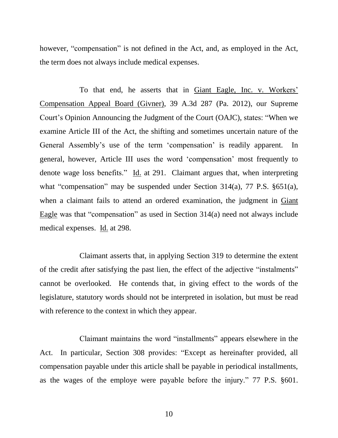however, "compensation" is not defined in the Act, and, as employed in the Act, the term does not always include medical expenses.

To that end, he asserts that in Giant Eagle, Inc. v. Workers' Compensation Appeal Board (Givner), 39 A.3d 287 (Pa. 2012), our Supreme Court's Opinion Announcing the Judgment of the Court (OAJC), states: "When we examine Article III of the Act, the shifting and sometimes uncertain nature of the General Assembly's use of the term 'compensation' is readily apparent. In general, however, Article III uses the word 'compensation' most frequently to denote wage loss benefits." Id. at 291. Claimant argues that, when interpreting what "compensation" may be suspended under Section 314(a), 77 P.S. §651(a), when a claimant fails to attend an ordered examination, the judgment in Giant Eagle was that "compensation" as used in Section 314(a) need not always include medical expenses. Id. at 298.

Claimant asserts that, in applying Section 319 to determine the extent of the credit after satisfying the past lien, the effect of the adjective "instalments" cannot be overlooked. He contends that, in giving effect to the words of the legislature, statutory words should not be interpreted in isolation, but must be read with reference to the context in which they appear.

Claimant maintains the word "installments" appears elsewhere in the Act. In particular, Section 308 provides: "Except as hereinafter provided, all compensation payable under this article shall be payable in periodical installments, as the wages of the employe were payable before the injury." 77 P.S. §601.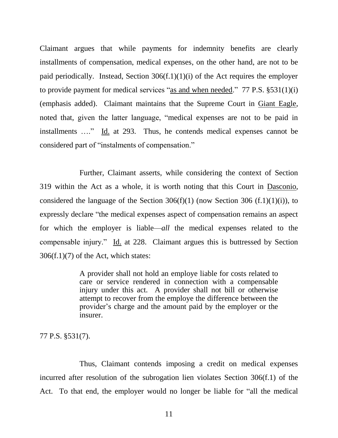Claimant argues that while payments for indemnity benefits are clearly installments of compensation, medical expenses, on the other hand, are not to be paid periodically. Instead, Section  $306(f.1)(1)(i)$  of the Act requires the employer to provide payment for medical services "as and when needed." 77 P.S. §531(1)(i) (emphasis added). Claimant maintains that the Supreme Court in Giant Eagle, noted that, given the latter language, "medical expenses are not to be paid in installments …." Id. at 293. Thus, he contends medical expenses cannot be considered part of "instalments of compensation."

Further, Claimant asserts, while considering the context of Section 319 within the Act as a whole, it is worth noting that this Court in Dasconio, considered the language of the Section  $306(f)(1)$  (now Section 306  $(f.1)(1)(i)$ ), to expressly declare "the medical expenses aspect of compensation remains an aspect for which the employer is liable—*all* the medical expenses related to the compensable injury." Id. at 228. Claimant argues this is buttressed by Section  $306(f.1)(7)$  of the Act, which states:

> A provider shall not hold an employe liable for costs related to care or service rendered in connection with a compensable injury under this act. A provider shall not bill or otherwise attempt to recover from the employe the difference between the provider's charge and the amount paid by the employer or the insurer.

77 P.S. §531(7).

Thus, Claimant contends imposing a credit on medical expenses incurred after resolution of the subrogation lien violates Section 306(f.1) of the Act. To that end, the employer would no longer be liable for "all the medical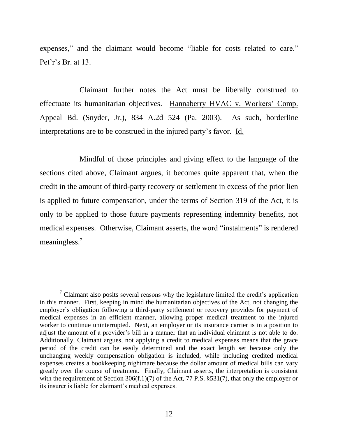expenses," and the claimant would become "liable for costs related to care." Pet'r's Br. at 13.

Claimant further notes the Act must be liberally construed to effectuate its humanitarian objectives. Hannaberry HVAC v. Workers' Comp. Appeal Bd. (Snyder, Jr.), 834 A.2d 524 (Pa. 2003). As such, borderline interpretations are to be construed in the injured party's favor. Id.

Mindful of those principles and giving effect to the language of the sections cited above, Claimant argues, it becomes quite apparent that, when the credit in the amount of third-party recovery or settlement in excess of the prior lien is applied to future compensation, under the terms of Section 319 of the Act, it is only to be applied to those future payments representing indemnity benefits, not medical expenses. Otherwise, Claimant asserts, the word "instalments" is rendered meaningless.<sup>7</sup>

l

 $\alpha$ <sup>7</sup> Claimant also posits several reasons why the legislature limited the credit's application in this manner. First, keeping in mind the humanitarian objectives of the Act, not changing the employer's obligation following a third-party settlement or recovery provides for payment of medical expenses in an efficient manner, allowing proper medical treatment to the injured worker to continue uninterrupted. Next, an employer or its insurance carrier is in a position to adjust the amount of a provider's bill in a manner that an individual claimant is not able to do. Additionally, Claimant argues, not applying a credit to medical expenses means that the grace period of the credit can be easily determined and the exact length set because only the unchanging weekly compensation obligation is included, while including credited medical expenses creates a bookkeeping nightmare because the dollar amount of medical bills can vary greatly over the course of treatment. Finally, Claimant asserts, the interpretation is consistent with the requirement of Section 306(f.1)(7) of the Act, 77 P.S. §531(7), that only the employer or its insurer is liable for claimant's medical expenses.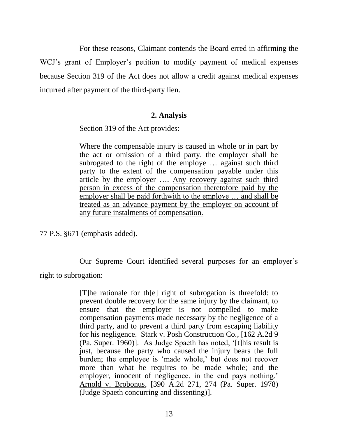For these reasons, Claimant contends the Board erred in affirming the WCJ's grant of Employer's petition to modify payment of medical expenses because Section 319 of the Act does not allow a credit against medical expenses incurred after payment of the third-party lien.

## **2. Analysis**

Section 319 of the Act provides:

Where the compensable injury is caused in whole or in part by the act or omission of a third party, the employer shall be subrogated to the right of the employe … against such third party to the extent of the compensation payable under this article by the employer …. Any recovery against such third person in excess of the compensation theretofore paid by the employer shall be paid forthwith to the employe … and shall be treated as an advance payment by the employer on account of any future instalments of compensation.

77 P.S. §671 (emphasis added).

Our Supreme Court identified several purposes for an employer's right to subrogation:

> [T]he rationale for th[e] right of subrogation is threefold: to prevent double recovery for the same injury by the claimant, to ensure that the employer is not compelled to make compensation payments made necessary by the negligence of a third party, and to prevent a third party from escaping liability for his negligence. Stark v. Posh Construction Co., [162 A.2d 9 (Pa. Super. 1960)]. As Judge Spaeth has noted, '[t]his result is just, because the party who caused the injury bears the full burden; the employee is 'made whole,' but does not recover more than what he requires to be made whole; and the employer, innocent of negligence, in the end pays nothing.' Arnold v. Brobonus, [390 A.2d 271, 274 (Pa. Super. 1978) (Judge Spaeth concurring and dissenting)].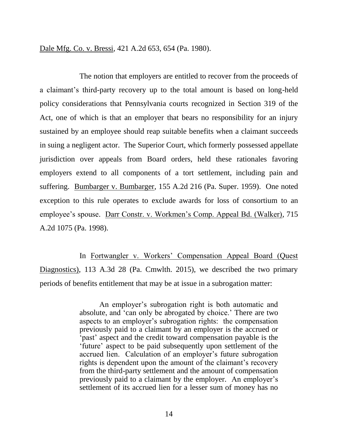Dale Mfg. Co. v. Bressi, 421 A.2d 653, 654 (Pa. 1980).

The notion that employers are entitled to recover from the proceeds of a claimant's third-party recovery up to the total amount is based on long-held policy considerations that Pennsylvania courts recognized in Section 319 of the Act, one of which is that an employer that bears no responsibility for an injury sustained by an employee should reap suitable benefits when a claimant succeeds in suing a negligent actor. The Superior Court, which formerly possessed appellate jurisdiction over appeals from Board orders, held these rationales favoring employers extend to all components of a tort settlement, including pain and suffering. Bumbarger v. Bumbarger, 155 A.2d 216 (Pa. Super. 1959). One noted exception to this rule operates to exclude awards for loss of consortium to an employee's spouse. Darr Constr. v. Workmen's Comp. Appeal Bd. (Walker), 715 A.2d 1075 (Pa. 1998).

In Fortwangler v. Workers' Compensation Appeal Board (Quest Diagnostics), 113 A.3d 28 (Pa. Cmwlth. 2015), we described the two primary periods of benefits entitlement that may be at issue in a subrogation matter:

> An employer's subrogation right is both automatic and absolute, and 'can only be abrogated by choice.' There are two aspects to an employer's subrogation rights: the compensation previously paid to a claimant by an employer is the accrued or 'past' aspect and the credit toward compensation payable is the 'future' aspect to be paid subsequently upon settlement of the accrued lien. Calculation of an employer's future subrogation rights is dependent upon the amount of the claimant's recovery from the third-party settlement and the amount of compensation previously paid to a claimant by the employer. An employer's settlement of its accrued lien for a lesser sum of money has no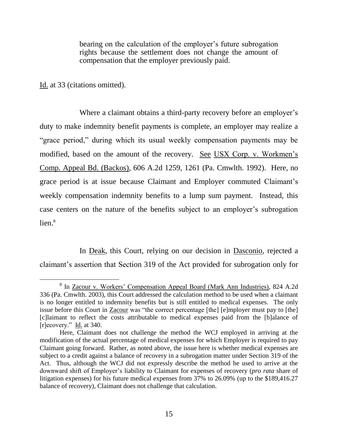bearing on the calculation of the employer's future subrogation rights because the settlement does not change the amount of compensation that the employer previously paid.

Id. at 33 (citations omitted).

l

Where a claimant obtains a third-party recovery before an employer's duty to make indemnity benefit payments is complete, an employer may realize a "grace period," during which its usual weekly compensation payments may be modified, based on the amount of the recovery. See USX Corp. v. Workmen's Comp. Appeal Bd. (Backos), 606 A.2d 1259, 1261 (Pa. Cmwlth. 1992). Here, no grace period is at issue because Claimant and Employer commuted Claimant's weekly compensation indemnity benefits to a lump sum payment. Instead, this case centers on the nature of the benefits subject to an employer's subrogation  $lien.<sup>8</sup>$ 

In Deak, this Court, relying on our decision in Dasconio, rejected a claimant's assertion that Section 319 of the Act provided for subrogation only for

<sup>&</sup>lt;sup>8</sup> In Zacour v. Workers' Compensation Appeal Board (Mark Ann Industries), 824 A.2d 336 (Pa. Cmwlth. 2003), this Court addressed the calculation method to be used when a claimant is no longer entitled to indemnity benefits but is still entitled to medical expenses. The only issue before this Court in Zacour was "the correct percentage [the] [e]mployer must pay to [the] [c]laimant to reflect the costs attributable to medical expenses paid from the [b]alance of [r]ecovery." Id. at 340.

Here, Claimant does not challenge the method the WCJ employed in arriving at the modification of the actual percentage of medical expenses for which Employer is required to pay Claimant going forward. Rather, as noted above, the issue here is whether medical expenses are subject to a credit against a balance of recovery in a subrogation matter under Section 319 of the Act. Thus, although the WCJ did not expressly describe the method he used to arrive at the downward shift of Employer's liability to Claimant for expenses of recovery (*pro rata* share of litigation expenses) for his future medical expenses from 37% to 26.09% (up to the \$189,416.27 balance of recovery), Claimant does not challenge that calculation.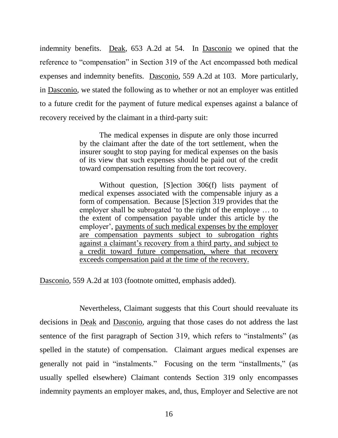indemnity benefits. Deak, 653 A.2d at 54. In Dasconio we opined that the reference to "compensation" in Section 319 of the Act encompassed both medical expenses and indemnity benefits. Dasconio, 559 A.2d at 103. More particularly, in Dasconio, we stated the following as to whether or not an employer was entitled to a future credit for the payment of future medical expenses against a balance of recovery received by the claimant in a third-party suit:

> The medical expenses in dispute are only those incurred by the claimant after the date of the tort settlement, when the insurer sought to stop paying for medical expenses on the basis of its view that such expenses should be paid out of the credit toward compensation resulting from the tort recovery.

> Without question, [S]ection 306(f) lists payment of medical expenses associated with the compensable injury as a form of compensation. Because [S]ection 319 provides that the employer shall be subrogated 'to the right of the employe … to the extent of compensation payable under this article by the employer', payments of such medical expenses by the employer are compensation payments subject to subrogation rights against a claimant's recovery from a third party, and subject to a credit toward future compensation, where that recovery exceeds compensation paid at the time of the recovery.

Dasconio, 559 A.2d at 103 (footnote omitted, emphasis added).

Nevertheless, Claimant suggests that this Court should reevaluate its decisions in Deak and Dasconio, arguing that those cases do not address the last sentence of the first paragraph of Section 319, which refers to "instalments" (as spelled in the statute) of compensation. Claimant argues medical expenses are generally not paid in "instalments." Focusing on the term "installments," (as usually spelled elsewhere) Claimant contends Section 319 only encompasses indemnity payments an employer makes, and, thus, Employer and Selective are not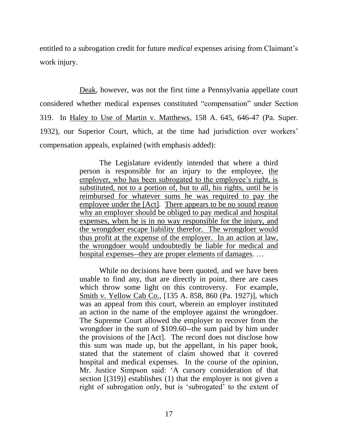entitled to a subrogation credit for future *medical* expenses arising from Claimant's work injury.

Deak, however, was not the first time a Pennsylvania appellate court considered whether medical expenses constituted "compensation" under Section 319. In Haley to Use of Martin v. Matthews, 158 A. 645, 646-47 (Pa. Super. 1932), our Superior Court, which, at the time had jurisdiction over workers' compensation appeals, explained (with emphasis added):

> The Legislature evidently intended that where a third person is responsible for an injury to the employee, the employer, who has been subrogated to the employee's right, is substituted, not to a portion of, but to all, his rights, until he is reimbursed for whatever sums he was required to pay the employee under the [Act]. There appears to be no sound reason why an employer should be obliged to pay medical and hospital expenses, when he is in no way responsible for the injury, and the wrongdoer escape liability therefor. The wrongdoer would thus profit at the expense of the employer. In an action at law, the wrongdoer would undoubtedly be liable for medical and hospital expenses--they are proper elements of damages....

> While no decisions have been quoted, and we have been unable to find any, that are directly in point, there are cases which throw some light on this controversy. For example, Smith v. Yellow Cab Co., [135 A. 858, 860 (Pa. 1927)], which was an appeal from this court, wherein an employer instituted an action in the name of the employee against the wrongdoer. The Supreme Court allowed the employer to recover from the wrongdoer in the sum of \$109.60--the sum paid by him under the provisions of the [Act]. The record does not disclose how this sum was made up, but the appellant, in his paper book, stated that the statement of claim showed that it covered hospital and medical expenses. In the course of the opinion, Mr. Justice Simpson said: 'A cursory consideration of that section [(319)] establishes (1) that the employer is not given a right of subrogation only, but is 'subrogated' to the extent of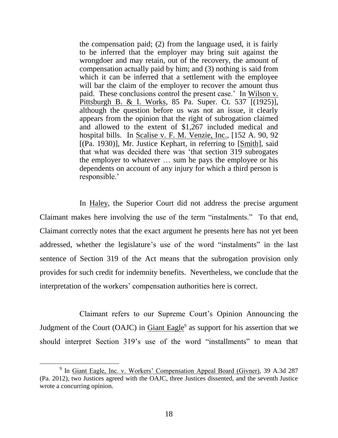the compensation paid; (2) from the language used, it is fairly to be inferred that the employer may bring suit against the wrongdoer and may retain, out of the recovery, the amount of compensation actually paid by him; and (3) nothing is said from which it can be inferred that a settlement with the employee will bar the claim of the employer to recover the amount thus paid. These conclusions control the present case.' In Wilson v. Pittsburgh B. & I. Works, 85 Pa. Super. Ct. 537 [(1925)], although the question before us was not an issue, it clearly appears from the opinion that the right of subrogation claimed and allowed to the extent of \$1,267 included medical and hospital bills. In Scalise v. F. M. Venzie, Inc., [152 A. 90, 92 [(Pa. 1930)], Mr. Justice Kephart, in referring to [Smith], said that what was decided there was 'that section 319 subrogates the employer to whatever … sum he pays the employee or his dependents on account of any injury for which a third person is responsible.'

In Haley, the Superior Court did not address the precise argument Claimant makes here involving the use of the term "instalments." To that end, Claimant correctly notes that the exact argument he presents here has not yet been addressed, whether the legislature's use of the word "instalments" in the last sentence of Section 319 of the Act means that the subrogation provision only provides for such credit for indemnity benefits. Nevertheless, we conclude that the interpretation of the workers' compensation authorities here is correct.

Claimant refers to our Supreme Court's Opinion Announcing the Judgment of the Court (OAJC) in **Giant Eagle**<sup>9</sup> as support for his assertion that we should interpret Section 319's use of the word "installments" to mean that

l

<sup>&</sup>lt;sup>9</sup> In <u>Giant Eagle, Inc. v. Workers' Compensation Appeal Board (Givner), 39 A.3d 287</u> (Pa. 2012), two Justices agreed with the OAJC, three Justices dissented, and the seventh Justice wrote a concurring opinion.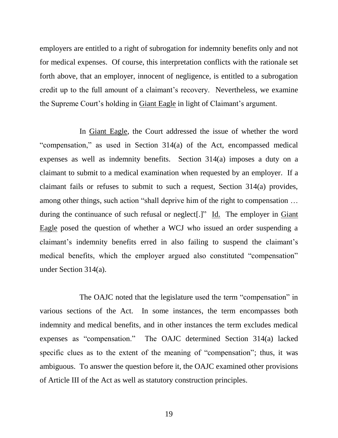employers are entitled to a right of subrogation for indemnity benefits only and not for medical expenses. Of course, this interpretation conflicts with the rationale set forth above, that an employer, innocent of negligence, is entitled to a subrogation credit up to the full amount of a claimant's recovery. Nevertheless, we examine the Supreme Court's holding in Giant Eagle in light of Claimant's argument.

In Giant Eagle, the Court addressed the issue of whether the word "compensation," as used in Section 314(a) of the Act, encompassed medical expenses as well as indemnity benefits. Section 314(a) imposes a duty on a claimant to submit to a medical examination when requested by an employer. If a claimant fails or refuses to submit to such a request, Section 314(a) provides, among other things, such action "shall deprive him of the right to compensation … during the continuance of such refusal or neglect[.]" Id. The employer in Giant Eagle posed the question of whether a WCJ who issued an order suspending a claimant's indemnity benefits erred in also failing to suspend the claimant's medical benefits, which the employer argued also constituted "compensation" under Section 314(a).

The OAJC noted that the legislature used the term "compensation" in various sections of the Act. In some instances, the term encompasses both indemnity and medical benefits, and in other instances the term excludes medical expenses as "compensation." The OAJC determined Section 314(a) lacked specific clues as to the extent of the meaning of "compensation"; thus, it was ambiguous. To answer the question before it, the OAJC examined other provisions of Article III of the Act as well as statutory construction principles.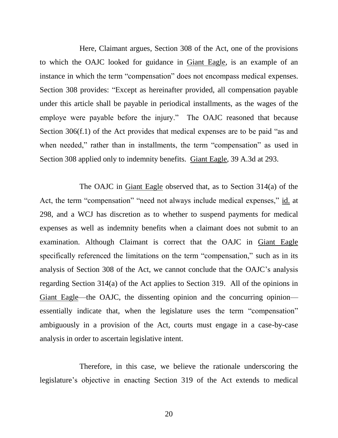Here, Claimant argues, Section 308 of the Act, one of the provisions to which the OAJC looked for guidance in Giant Eagle, is an example of an instance in which the term "compensation" does not encompass medical expenses. Section 308 provides: "Except as hereinafter provided, all compensation payable under this article shall be payable in periodical installments, as the wages of the employe were payable before the injury." The OAJC reasoned that because Section 306(f.1) of the Act provides that medical expenses are to be paid "as and when needed," rather than in installments, the term "compensation" as used in Section 308 applied only to indemnity benefits. Giant Eagle, 39 A.3d at 293.

The OAJC in Giant Eagle observed that, as to Section 314(a) of the Act, the term "compensation" "need not always include medical expenses," id. at 298, and a WCJ has discretion as to whether to suspend payments for medical expenses as well as indemnity benefits when a claimant does not submit to an examination. Although Claimant is correct that the OAJC in Giant Eagle specifically referenced the limitations on the term "compensation," such as in its analysis of Section 308 of the Act, we cannot conclude that the OAJC's analysis regarding Section 314(a) of the Act applies to Section 319. All of the opinions in Giant Eagle—the OAJC, the dissenting opinion and the concurring opinion essentially indicate that, when the legislature uses the term "compensation" ambiguously in a provision of the Act, courts must engage in a case-by-case analysis in order to ascertain legislative intent.

Therefore, in this case, we believe the rationale underscoring the legislature's objective in enacting Section 319 of the Act extends to medical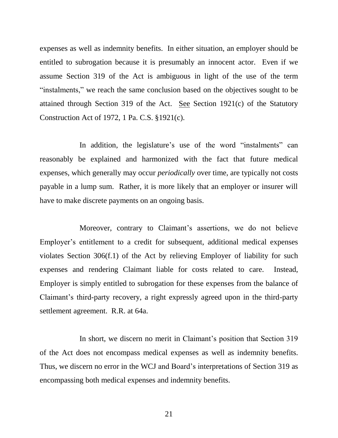expenses as well as indemnity benefits. In either situation, an employer should be entitled to subrogation because it is presumably an innocent actor. Even if we assume Section 319 of the Act is ambiguous in light of the use of the term "instalments," we reach the same conclusion based on the objectives sought to be attained through Section 319 of the Act. See Section 1921(c) of the Statutory Construction Act of 1972, 1 Pa. C.S. §1921(c).

In addition, the legislature's use of the word "instalments" can reasonably be explained and harmonized with the fact that future medical expenses, which generally may occur *periodically* over time, are typically not costs payable in a lump sum. Rather, it is more likely that an employer or insurer will have to make discrete payments on an ongoing basis.

Moreover, contrary to Claimant's assertions, we do not believe Employer's entitlement to a credit for subsequent, additional medical expenses violates Section 306(f.1) of the Act by relieving Employer of liability for such expenses and rendering Claimant liable for costs related to care. Instead, Employer is simply entitled to subrogation for these expenses from the balance of Claimant's third-party recovery, a right expressly agreed upon in the third-party settlement agreement. R.R. at 64a.

In short, we discern no merit in Claimant's position that Section 319 of the Act does not encompass medical expenses as well as indemnity benefits. Thus, we discern no error in the WCJ and Board's interpretations of Section 319 as encompassing both medical expenses and indemnity benefits.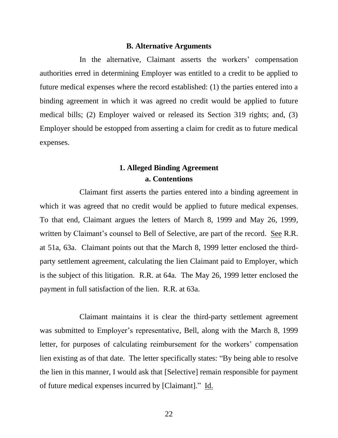#### **B. Alternative Arguments**

In the alternative, Claimant asserts the workers' compensation authorities erred in determining Employer was entitled to a credit to be applied to future medical expenses where the record established: (1) the parties entered into a binding agreement in which it was agreed no credit would be applied to future medical bills; (2) Employer waived or released its Section 319 rights; and, (3) Employer should be estopped from asserting a claim for credit as to future medical expenses.

# **1. Alleged Binding Agreement a. Contentions**

Claimant first asserts the parties entered into a binding agreement in which it was agreed that no credit would be applied to future medical expenses. To that end, Claimant argues the letters of March 8, 1999 and May 26, 1999, written by Claimant's counsel to Bell of Selective, are part of the record. See R.R. at 51a, 63a. Claimant points out that the March 8, 1999 letter enclosed the thirdparty settlement agreement, calculating the lien Claimant paid to Employer, which is the subject of this litigation. R.R. at 64a. The May 26, 1999 letter enclosed the payment in full satisfaction of the lien. R.R. at 63a.

Claimant maintains it is clear the third-party settlement agreement was submitted to Employer's representative, Bell, along with the March 8, 1999 letter, for purposes of calculating reimbursement for the workers' compensation lien existing as of that date. The letter specifically states: "By being able to resolve the lien in this manner, I would ask that [Selective] remain responsible for payment of future medical expenses incurred by [Claimant]." Id.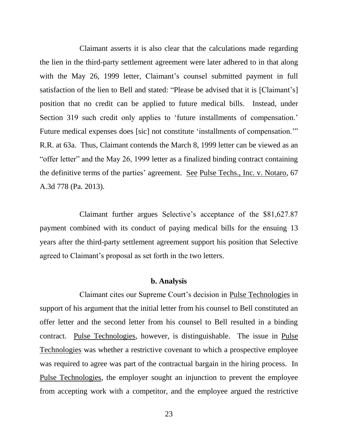Claimant asserts it is also clear that the calculations made regarding the lien in the third-party settlement agreement were later adhered to in that along with the May 26, 1999 letter, Claimant's counsel submitted payment in full satisfaction of the lien to Bell and stated: "Please be advised that it is [Claimant's] position that no credit can be applied to future medical bills. Instead, under Section 319 such credit only applies to 'future installments of compensation.' Future medical expenses does [sic] not constitute 'installments of compensation.'" R.R. at 63a. Thus, Claimant contends the March 8, 1999 letter can be viewed as an "offer letter" and the May 26, 1999 letter as a finalized binding contract containing the definitive terms of the parties' agreement. See Pulse Techs., Inc. v. Notaro, 67 A.3d 778 (Pa. 2013).

Claimant further argues Selective's acceptance of the \$81,627.87 payment combined with its conduct of paying medical bills for the ensuing 13 years after the third-party settlement agreement support his position that Selective agreed to Claimant's proposal as set forth in the two letters.

#### **b. Analysis**

Claimant cites our Supreme Court's decision in Pulse Technologies in support of his argument that the initial letter from his counsel to Bell constituted an offer letter and the second letter from his counsel to Bell resulted in a binding contract. Pulse Technologies, however, is distinguishable. The issue in Pulse Technologies was whether a restrictive covenant to which a prospective employee was required to agree was part of the contractual bargain in the hiring process. In Pulse Technologies, the employer sought an injunction to prevent the employee from accepting work with a competitor, and the employee argued the restrictive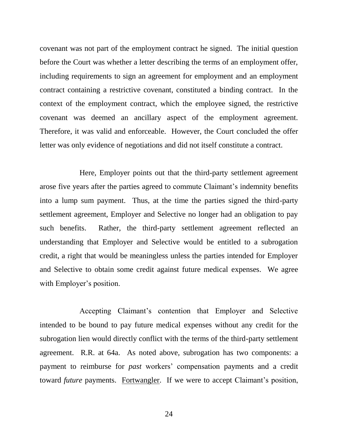covenant was not part of the employment contract he signed. The initial question before the Court was whether a letter describing the terms of an employment offer, including requirements to sign an agreement for employment and an employment contract containing a restrictive covenant, constituted a binding contract. In the context of the employment contract, which the employee signed, the restrictive covenant was deemed an ancillary aspect of the employment agreement. Therefore, it was valid and enforceable. However, the Court concluded the offer letter was only evidence of negotiations and did not itself constitute a contract.

Here, Employer points out that the third-party settlement agreement arose five years after the parties agreed to commute Claimant's indemnity benefits into a lump sum payment. Thus, at the time the parties signed the third-party settlement agreement, Employer and Selective no longer had an obligation to pay such benefits. Rather, the third-party settlement agreement reflected an understanding that Employer and Selective would be entitled to a subrogation credit, a right that would be meaningless unless the parties intended for Employer and Selective to obtain some credit against future medical expenses. We agree with Employer's position.

Accepting Claimant's contention that Employer and Selective intended to be bound to pay future medical expenses without any credit for the subrogation lien would directly conflict with the terms of the third-party settlement agreement. R.R. at 64a. As noted above, subrogation has two components: a payment to reimburse for *past* workers' compensation payments and a credit toward *future* payments. Fortwangler. If we were to accept Claimant's position,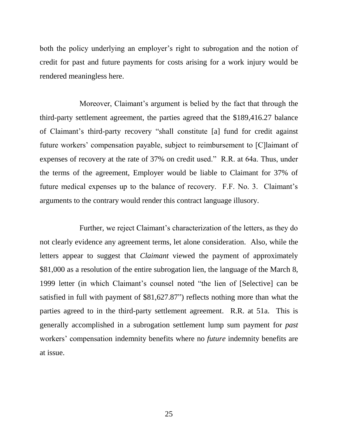both the policy underlying an employer's right to subrogation and the notion of credit for past and future payments for costs arising for a work injury would be rendered meaningless here.

Moreover, Claimant's argument is belied by the fact that through the third-party settlement agreement, the parties agreed that the \$189,416.27 balance of Claimant's third-party recovery "shall constitute [a] fund for credit against future workers' compensation payable, subject to reimbursement to [C]laimant of expenses of recovery at the rate of 37% on credit used." R.R. at 64a. Thus, under the terms of the agreement, Employer would be liable to Claimant for 37% of future medical expenses up to the balance of recovery. F.F. No. 3. Claimant's arguments to the contrary would render this contract language illusory.

Further, we reject Claimant's characterization of the letters, as they do not clearly evidence any agreement terms, let alone consideration. Also, while the letters appear to suggest that *Claimant* viewed the payment of approximately \$81,000 as a resolution of the entire subrogation lien, the language of the March 8, 1999 letter (in which Claimant's counsel noted "the lien of [Selective] can be satisfied in full with payment of \$81,627.87") reflects nothing more than what the parties agreed to in the third-party settlement agreement. R.R. at 51a. This is generally accomplished in a subrogation settlement lump sum payment for *past* workers' compensation indemnity benefits where no *future* indemnity benefits are at issue.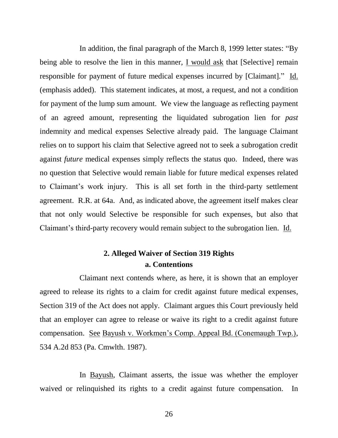In addition, the final paragraph of the March 8, 1999 letter states: "By being able to resolve the lien in this manner, I would ask that [Selective] remain responsible for payment of future medical expenses incurred by [Claimant]." Id. (emphasis added). This statement indicates, at most, a request, and not a condition for payment of the lump sum amount. We view the language as reflecting payment of an agreed amount, representing the liquidated subrogation lien for *past* indemnity and medical expenses Selective already paid. The language Claimant relies on to support his claim that Selective agreed not to seek a subrogation credit against *future* medical expenses simply reflects the status quo. Indeed, there was no question that Selective would remain liable for future medical expenses related to Claimant's work injury. This is all set forth in the third-party settlement agreement. R.R. at 64a. And, as indicated above, the agreement itself makes clear that not only would Selective be responsible for such expenses, but also that Claimant's third-party recovery would remain subject to the subrogation lien. Id.

# **2. Alleged Waiver of Section 319 Rights a. Contentions**

Claimant next contends where, as here, it is shown that an employer agreed to release its rights to a claim for credit against future medical expenses, Section 319 of the Act does not apply. Claimant argues this Court previously held that an employer can agree to release or waive its right to a credit against future compensation. See Bayush v. Workmen's Comp. Appeal Bd. (Conemaugh Twp.), 534 A.2d 853 (Pa. Cmwlth. 1987).

In Bayush, Claimant asserts, the issue was whether the employer waived or relinquished its rights to a credit against future compensation. In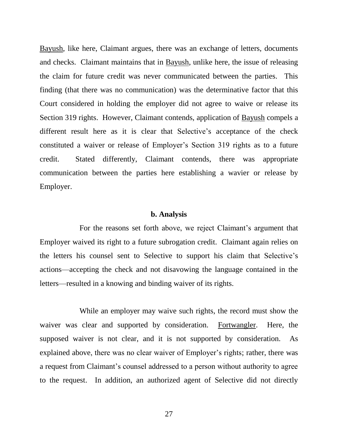Bayush, like here, Claimant argues, there was an exchange of letters, documents and checks. Claimant maintains that in Bayush, unlike here, the issue of releasing the claim for future credit was never communicated between the parties. This finding (that there was no communication) was the determinative factor that this Court considered in holding the employer did not agree to waive or release its Section 319 rights. However, Claimant contends, application of Bayush compels a different result here as it is clear that Selective's acceptance of the check constituted a waiver or release of Employer's Section 319 rights as to a future credit. Stated differently, Claimant contends, there was appropriate communication between the parties here establishing a wavier or release by Employer.

#### **b. Analysis**

For the reasons set forth above, we reject Claimant's argument that Employer waived its right to a future subrogation credit. Claimant again relies on the letters his counsel sent to Selective to support his claim that Selective's actions—accepting the check and not disavowing the language contained in the letters—resulted in a knowing and binding waiver of its rights.

While an employer may waive such rights, the record must show the waiver was clear and supported by consideration. Fortwangler. Here, the supposed waiver is not clear, and it is not supported by consideration. As explained above, there was no clear waiver of Employer's rights; rather, there was a request from Claimant's counsel addressed to a person without authority to agree to the request. In addition, an authorized agent of Selective did not directly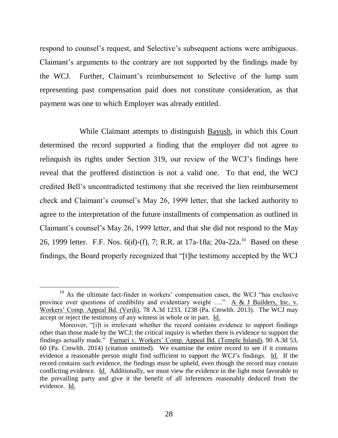respond to counsel's request, and Selective's subsequent actions were ambiguous. Claimant's arguments to the contrary are not supported by the findings made by the WCJ. Further, Claimant's reimbursement to Selective of the lump sum representing past compensation paid does not constitute consideration, as that payment was one to which Employer was already entitled.

While Claimant attempts to distinguish Bayush, in which this Court determined the record supported a finding that the employer did not agree to relinquish its rights under Section 319, our review of the WCJ's findings here reveal that the proffered distinction is not a valid one. To that end, the WCJ credited Bell's uncontradicted testimony that she received the lien reimbursement check and Claimant's counsel's May 26, 1999 letter, that she lacked authority to agree to the interpretation of the future installments of compensation as outlined in Claimant's counsel's May 26, 1999 letter, and that she did not respond to the May 26, 1999 letter. F.F. Nos. 6(d)-(f), 7; R.R. at 17a-18a; 20a-22a.<sup>10</sup> Based on these findings, the Board properly recognized that "[t]he testimony accepted by the WCJ

l

 $10$  As the ultimate fact-finder in workers' compensation cases, the WCJ "has exclusive province over questions of credibility and evidentiary weight …." A & J Builders, Inc. v. Workers' Comp. Appeal Bd. (Verdi), 78 A.3d 1233, 1238 (Pa. Cmwlth. 2013). The WCJ may accept or reject the testimony of any witness in whole or in part. Id.

Moreover, "[i]t is irrelevant whether the record contains evidence to support findings other than those made by the WCJ; the critical inquiry is whether there is evidence to support the findings actually made." Furnari v. Workers' Comp. Appeal Bd. (Temple Inland), 90 A.3d 53, 60 (Pa. Cmwlth. 2014) (citation omitted). We examine the entire record to see if it contains evidence a reasonable person might find sufficient to support the WCJ's findings. Id. If the record contains such evidence, the findings must be upheld, even though the record may contain conflicting evidence. Id. Additionally, we must view the evidence in the light most favorable to the prevailing party and give it the benefit of all inferences reasonably deduced from the evidence. Id.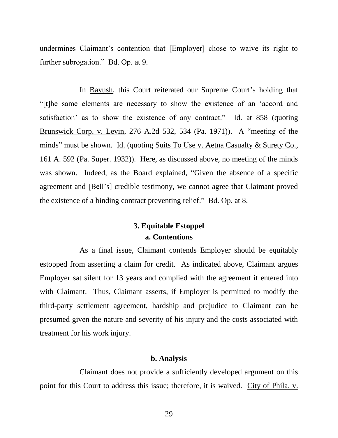undermines Claimant's contention that [Employer] chose to waive its right to further subrogation." Bd. Op. at 9.

In Bayush, this Court reiterated our Supreme Court's holding that "[t]he same elements are necessary to show the existence of an 'accord and satisfaction' as to show the existence of any contract." Id. at 858 (quoting Brunswick Corp. v. Levin, 276 A.2d 532, 534 (Pa. 1971)). A "meeting of the minds" must be shown. Id. (quoting Suits To Use v. Aetna Casualty & Surety Co., 161 A. 592 (Pa. Super. 1932)). Here, as discussed above, no meeting of the minds was shown. Indeed, as the Board explained, "Given the absence of a specific agreement and [Bell's] credible testimony, we cannot agree that Claimant proved the existence of a binding contract preventing relief." Bd. Op. at 8.

# **3. Equitable Estoppel a. Contentions**

As a final issue, Claimant contends Employer should be equitably estopped from asserting a claim for credit. As indicated above, Claimant argues Employer sat silent for 13 years and complied with the agreement it entered into with Claimant. Thus, Claimant asserts, if Employer is permitted to modify the third-party settlement agreement, hardship and prejudice to Claimant can be presumed given the nature and severity of his injury and the costs associated with treatment for his work injury.

#### **b. Analysis**

Claimant does not provide a sufficiently developed argument on this point for this Court to address this issue; therefore, it is waived. City of Phila. v.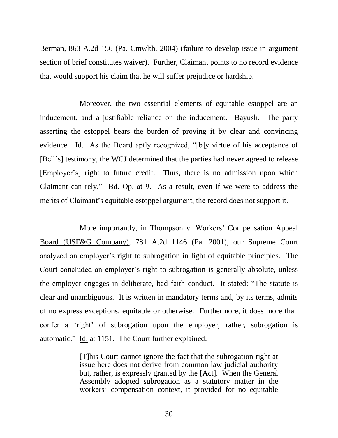Berman, 863 A.2d 156 (Pa. Cmwlth. 2004) (failure to develop issue in argument section of brief constitutes waiver). Further, Claimant points to no record evidence that would support his claim that he will suffer prejudice or hardship.

Moreover, the two essential elements of equitable estoppel are an inducement, and a justifiable reliance on the inducement. Bayush. The party asserting the estoppel bears the burden of proving it by clear and convincing evidence. Id. As the Board aptly recognized, "[b]y virtue of his acceptance of [Bell's] testimony, the WCJ determined that the parties had never agreed to release [Employer's] right to future credit. Thus, there is no admission upon which Claimant can rely." Bd. Op. at 9. As a result, even if we were to address the merits of Claimant's equitable estoppel argument, the record does not support it.

More importantly, in Thompson v. Workers' Compensation Appeal Board (USF&G Company), 781 A.2d 1146 (Pa. 2001), our Supreme Court analyzed an employer's right to subrogation in light of equitable principles. The Court concluded an employer's right to subrogation is generally absolute, unless the employer engages in deliberate, bad faith conduct. It stated: "The statute is clear and unambiguous. It is written in mandatory terms and, by its terms, admits of no express exceptions, equitable or otherwise. Furthermore, it does more than confer a 'right' of subrogation upon the employer; rather, subrogation is automatic." Id. at 1151. The Court further explained:

> [T]his Court cannot ignore the fact that the subrogation right at issue here does not derive from common law judicial authority but, rather, is expressly granted by the [Act]. When the General Assembly adopted subrogation as a statutory matter in the workers' compensation context, it provided for no equitable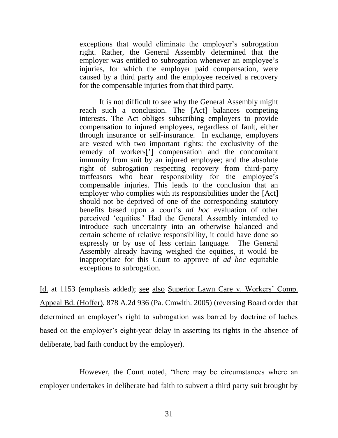exceptions that would eliminate the employer's subrogation right. Rather, the General Assembly determined that the employer was entitled to subrogation whenever an employee's injuries, for which the employer paid compensation, were caused by a third party and the employee received a recovery for the compensable injuries from that third party.

It is not difficult to see why the General Assembly might reach such a conclusion. The [Act] balances competing interests. The Act obliges subscribing employers to provide compensation to injured employees, regardless of fault, either through insurance or self-insurance. In exchange, employers are vested with two important rights: the exclusivity of the remedy of workers['] compensation and the concomitant immunity from suit by an injured employee; and the absolute right of subrogation respecting recovery from third-party tortfeasors who bear responsibility for the employee's compensable injuries. This leads to the conclusion that an employer who complies with its responsibilities under the [Act] should not be deprived of one of the corresponding statutory benefits based upon a court's *ad hoc* evaluation of other perceived 'equities.' Had the General Assembly intended to introduce such uncertainty into an otherwise balanced and certain scheme of relative responsibility, it could have done so expressly or by use of less certain language. The General Assembly already having weighed the equities, it would be inappropriate for this Court to approve of *ad hoc* equitable exceptions to subrogation.

Id. at 1153 (emphasis added); see also Superior Lawn Care v. Workers' Comp. Appeal Bd. (Hoffer), 878 A.2d 936 (Pa. Cmwlth. 2005) (reversing Board order that determined an employer's right to subrogation was barred by doctrine of laches based on the employer's eight-year delay in asserting its rights in the absence of deliberate, bad faith conduct by the employer).

However, the Court noted, "there may be circumstances where an employer undertakes in deliberate bad faith to subvert a third party suit brought by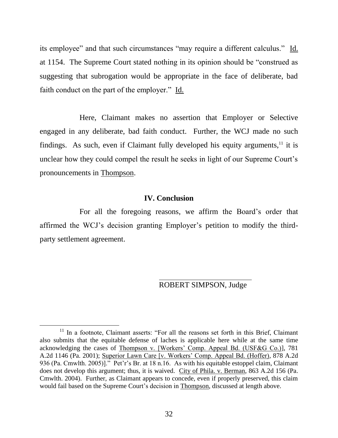its employee" and that such circumstances "may require a different calculus." Id. at 1154. The Supreme Court stated nothing in its opinion should be "construed as suggesting that subrogation would be appropriate in the face of deliberate, bad faith conduct on the part of the employer." Id.

Here, Claimant makes no assertion that Employer or Selective engaged in any deliberate, bad faith conduct. Further, the WCJ made no such findings. As such, even if Claimant fully developed his equity arguments, $^{11}$  it is unclear how they could compel the result he seeks in light of our Supreme Court's pronouncements in Thompson.

### **IV. Conclusion**

For all the foregoing reasons, we affirm the Board's order that affirmed the WCJ's decision granting Employer's petition to modify the thirdparty settlement agreement.

l

ROBERT SIMPSON, Judge

<sup>&</sup>lt;sup>11</sup> In a footnote, Claimant asserts: "For all the reasons set forth in this Brief, Claimant also submits that the equitable defense of laches is applicable here while at the same time acknowledging the cases of Thompson v. [Workers' Comp. Appeal Bd. (USF&G Co.)], 781 A.2d 1146 (Pa. 2001); Superior Lawn Care [v. Workers' Comp. Appeal Bd. (Hoffer), 878 A.2d 936 (Pa. Cmwlth. 2005)]." Pet'r's Br. at 18 n.16. As with his equitable estoppel claim, Claimant does not develop this argument; thus, it is waived. City of Phila. v. Berman, 863 A.2d 156 (Pa. Cmwlth. 2004). Further, as Claimant appears to concede, even if properly preserved, this claim would fail based on the Supreme Court's decision in Thompson, discussed at length above.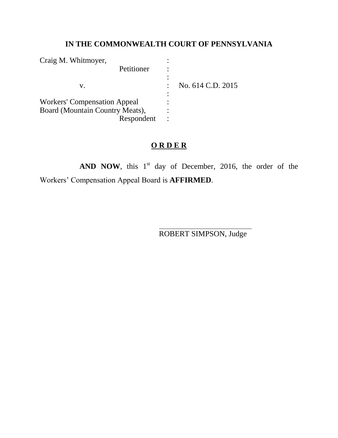# **IN THE COMMONWEALTH COURT OF PENNSYLVANIA**

| Craig M. Whitmoyer,                 |                   |
|-------------------------------------|-------------------|
| Petitioner                          |                   |
|                                     |                   |
| V.                                  | No. 614 C.D. 2015 |
|                                     |                   |
| <b>Workers' Compensation Appeal</b> |                   |
| Board (Mountain Country Meats),     |                   |
| Respondent                          |                   |

# **O R D E R**

**AND NOW**, this  $1<sup>st</sup>$  day of December, 2016, the order of the Workers' Compensation Appeal Board is **AFFIRMED**.

ROBERT SIMPSON, Judge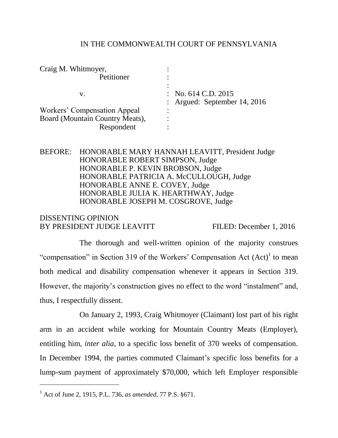#### IN THE COMMONWEALTH COURT OF PENNSYLVANIA

| Craig M. Whitmoyer,             |                                |
|---------------------------------|--------------------------------|
| Petitioner                      |                                |
|                                 |                                |
| V.                              | $\therefore$ No. 614 C.D. 2015 |
|                                 | : Argued: September 14, 2016   |
| Workers' Compensation Appeal    |                                |
| Board (Mountain Country Meats), |                                |
| Respondent                      |                                |

## BEFORE: HONORABLE MARY HANNAH LEAVITT, President Judge HONORABLE ROBERT SIMPSON, Judge HONORABLE P. KEVIN BROBSON, Judge HONORABLE PATRICIA A. McCULLOUGH, Judge HONORABLE ANNE E. COVEY, Judge HONORABLE JULIA K. HEARTHWAY, Judge HONORABLE JOSEPH M. COSGROVE, Judge

## DISSENTING OPINION BY PRESIDENT JUDGE LEAVITT FILED: December 1, 2016

The thorough and well-written opinion of the majority construes "compensation" in Section 319 of the Workers' Compensation Act  $(Act)^{1}$  to mean both medical and disability compensation whenever it appears in Section 319. However, the majority's construction gives no effect to the word "instalment" and, thus, I respectfully dissent.

On January 2, 1993, Craig Whitmoyer (Claimant) lost part of his right arm in an accident while working for Mountain Country Meats (Employer), entitling him, *inter alia*, to a specific loss benefit of 370 weeks of compensation. In December 1994, the parties commuted Claimant's specific loss benefits for a lump-sum payment of approximately \$70,000, which left Employer responsible

 $\overline{a}$ 

<sup>1</sup> Act of June 2, 1915, P.L. 736, *as amended*, 77 P.S. §671.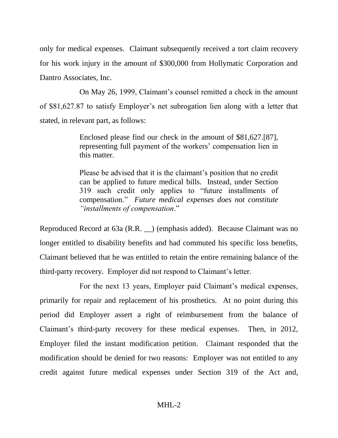only for medical expenses. Claimant subsequently received a tort claim recovery for his work injury in the amount of \$300,000 from Hollymatic Corporation and Dantro Associates, Inc.

On May 26, 1999, Claimant's counsel remitted a check in the amount of \$81,627.87 to satisfy Employer's net subrogation lien along with a letter that stated, in relevant part, as follows:

> Enclosed please find our check in the amount of \$81,627.[87], representing full payment of the workers' compensation lien in this matter.

> Please be advised that it is the claimant's position that no credit can be applied to future medical bills. Instead, under Section 319 such credit only applies to "future installments of compensation." *Future medical expenses does not constitute "installments of compensation*."

Reproduced Record at 63a (R.R. \_\_) (emphasis added). Because Claimant was no longer entitled to disability benefits and had commuted his specific loss benefits, Claimant believed that he was entitled to retain the entire remaining balance of the third-party recovery. Employer did not respond to Claimant's letter.

For the next 13 years, Employer paid Claimant's medical expenses, primarily for repair and replacement of his prosthetics. At no point during this period did Employer assert a right of reimbursement from the balance of Claimant's third-party recovery for these medical expenses. Then, in 2012, Employer filed the instant modification petition. Claimant responded that the modification should be denied for two reasons: Employer was not entitled to any credit against future medical expenses under Section 319 of the Act and,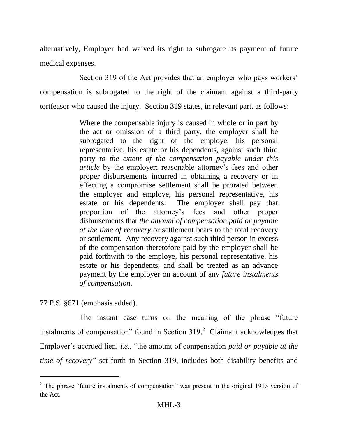alternatively, Employer had waived its right to subrogate its payment of future medical expenses.

Section 319 of the Act provides that an employer who pays workers' compensation is subrogated to the right of the claimant against a third-party tortfeasor who caused the injury. Section 319 states, in relevant part, as follows:

> Where the compensable injury is caused in whole or in part by the act or omission of a third party, the employer shall be subrogated to the right of the employe, his personal representative, his estate or his dependents, against such third party *to the extent of the compensation payable under this article* by the employer; reasonable attorney's fees and other proper disbursements incurred in obtaining a recovery or in effecting a compromise settlement shall be prorated between the employer and employe, his personal representative, his estate or his dependents. The employer shall pay that proportion of the attorney's fees and other proper disbursements that *the amount of compensation paid or payable at the time of recovery* or settlement bears to the total recovery or settlement. Any recovery against such third person in excess of the compensation theretofore paid by the employer shall be paid forthwith to the employe, his personal representative, his estate or his dependents, and shall be treated as an advance payment by the employer on account of any *future instalments of compensation*.

77 P.S. §671 (emphasis added).

 $\overline{a}$ 

The instant case turns on the meaning of the phrase "future instalments of compensation" found in Section  $319<sup>2</sup>$  Claimant acknowledges that Employer's accrued lien, *i.e.*, "the amount of compensation *paid or payable at the time of recovery*" set forth in Section 319, includes both disability benefits and

 $2$  The phrase "future instalments of compensation" was present in the original 1915 version of the Act.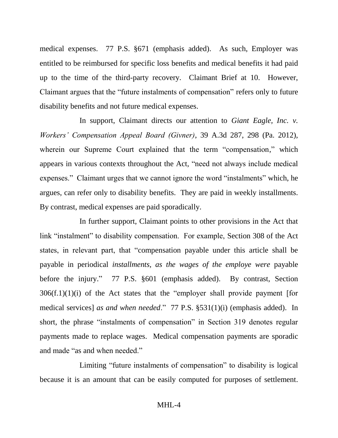medical expenses. 77 P.S. §671 (emphasis added). As such, Employer was entitled to be reimbursed for specific loss benefits and medical benefits it had paid up to the time of the third-party recovery. Claimant Brief at 10. However, Claimant argues that the "future instalments of compensation" refers only to future disability benefits and not future medical expenses.

In support, Claimant directs our attention to *Giant Eagle, Inc. v. Workers' Compensation Appeal Board (Givner)*, 39 A.3d 287, 298 (Pa. 2012), wherein our Supreme Court explained that the term "compensation," which appears in various contexts throughout the Act, "need not always include medical expenses." Claimant urges that we cannot ignore the word "instalments" which, he argues, can refer only to disability benefits. They are paid in weekly installments. By contrast, medical expenses are paid sporadically.

In further support, Claimant points to other provisions in the Act that link "instalment" to disability compensation. For example, Section 308 of the Act states, in relevant part, that "compensation payable under this article shall be payable in periodical *installments, as the wages of the employe were* payable before the injury." 77 P.S. §601 (emphasis added). By contrast, Section  $306(f.1)(1)(i)$  of the Act states that the "employer shall provide payment [for medical services] *as and when needed*." 77 P.S. §531(1)(i) (emphasis added). In short, the phrase "instalments of compensation" in Section 319 denotes regular payments made to replace wages. Medical compensation payments are sporadic and made "as and when needed."

Limiting "future instalments of compensation" to disability is logical because it is an amount that can be easily computed for purposes of settlement.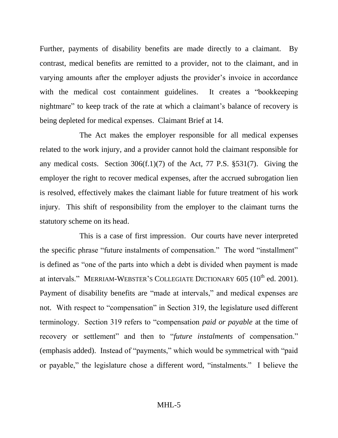Further, payments of disability benefits are made directly to a claimant. By contrast, medical benefits are remitted to a provider, not to the claimant, and in varying amounts after the employer adjusts the provider's invoice in accordance with the medical cost containment guidelines. It creates a "bookkeeping" nightmare" to keep track of the rate at which a claimant's balance of recovery is being depleted for medical expenses. Claimant Brief at 14.

The Act makes the employer responsible for all medical expenses related to the work injury, and a provider cannot hold the claimant responsible for any medical costs. Section  $306(f.1)(7)$  of the Act, 77 P.S.  $\S 531(7)$ . Giving the employer the right to recover medical expenses, after the accrued subrogation lien is resolved, effectively makes the claimant liable for future treatment of his work injury. This shift of responsibility from the employer to the claimant turns the statutory scheme on its head.

This is a case of first impression. Our courts have never interpreted the specific phrase "future instalments of compensation." The word "installment" is defined as "one of the parts into which a debt is divided when payment is made at intervals." MERRIAM-WEBSTER'S COLLEGIATE DICTIONARY  $605$  ( $10<sup>th</sup>$  ed. 2001). Payment of disability benefits are "made at intervals," and medical expenses are not. With respect to "compensation" in Section 319, the legislature used different terminology. Section 319 refers to "compensation *paid or payable* at the time of recovery or settlement" and then to "*future instalments* of compensation." (emphasis added). Instead of "payments," which would be symmetrical with "paid or payable," the legislature chose a different word, "instalments." I believe the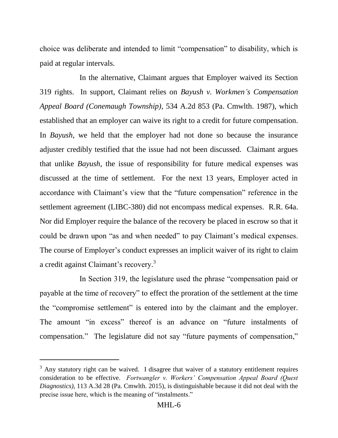choice was deliberate and intended to limit "compensation" to disability, which is paid at regular intervals.

In the alternative, Claimant argues that Employer waived its Section 319 rights. In support, Claimant relies on *Bayush v. Workmen's Compensation Appeal Board (Conemaugh Township)*, 534 A.2d 853 (Pa. Cmwlth. 1987), which established that an employer can waive its right to a credit for future compensation. In *Bayush*, we held that the employer had not done so because the insurance adjuster credibly testified that the issue had not been discussed. Claimant argues that unlike *Bayush*, the issue of responsibility for future medical expenses was discussed at the time of settlement. For the next 13 years, Employer acted in accordance with Claimant's view that the "future compensation" reference in the settlement agreement (LIBC-380) did not encompass medical expenses. R.R. 64a. Nor did Employer require the balance of the recovery be placed in escrow so that it could be drawn upon "as and when needed" to pay Claimant's medical expenses. The course of Employer's conduct expresses an implicit waiver of its right to claim a credit against Claimant's recovery.<sup>3</sup>

In Section 319, the legislature used the phrase "compensation paid or payable at the time of recovery" to effect the proration of the settlement at the time the "compromise settlement" is entered into by the claimant and the employer. The amount "in excess" thereof is an advance on "future instalments of compensation." The legislature did not say "future payments of compensation,"

 $\overline{a}$ 

 $3$  Any statutory right can be waived. I disagree that waiver of a statutory entitlement requires consideration to be effective. *Fortwangler v. Workers' Compensation Appeal Board (Quest Diagnostics)*, 113 A.3d 28 (Pa. Cmwlth. 2015), is distinguishable because it did not deal with the precise issue here, which is the meaning of "instalments."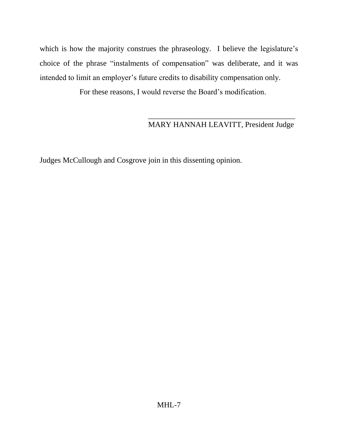which is how the majority construes the phraseology. I believe the legislature's choice of the phrase "instalments of compensation" was deliberate, and it was intended to limit an employer's future credits to disability compensation only.

For these reasons, I would reverse the Board's modification.

## $\overline{\phantom{a}}$  ,  $\overline{\phantom{a}}$  ,  $\overline{\phantom{a}}$  ,  $\overline{\phantom{a}}$  ,  $\overline{\phantom{a}}$  ,  $\overline{\phantom{a}}$  ,  $\overline{\phantom{a}}$  ,  $\overline{\phantom{a}}$  ,  $\overline{\phantom{a}}$  ,  $\overline{\phantom{a}}$  ,  $\overline{\phantom{a}}$  ,  $\overline{\phantom{a}}$  ,  $\overline{\phantom{a}}$  ,  $\overline{\phantom{a}}$  ,  $\overline{\phantom{a}}$  ,  $\overline{\phantom{a}}$ MARY HANNAH LEAVITT, President Judge

Judges McCullough and Cosgrove join in this dissenting opinion.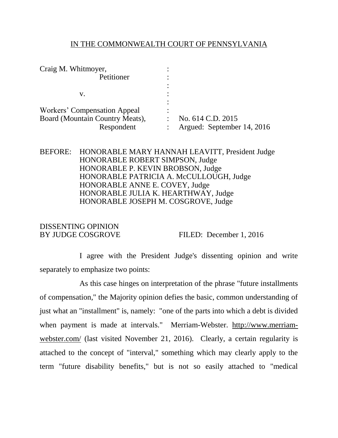#### IN THE COMMONWEALTH COURT OF PENNSYLVANIA

| Craig M. Whitmoyer,             |                            |
|---------------------------------|----------------------------|
| Petitioner                      |                            |
|                                 |                            |
| v.                              |                            |
|                                 |                            |
| Workers' Compensation Appeal    |                            |
| Board (Mountain Country Meats), | No. 614 C.D. 2015          |
| Respondent                      | Argued: September 14, 2016 |
|                                 |                            |

## BEFORE: HONORABLE MARY HANNAH LEAVITT, President Judge HONORABLE ROBERT SIMPSON, Judge HONORABLE P. KEVIN BROBSON, Judge HONORABLE PATRICIA A. McCULLOUGH, Judge HONORABLE ANNE E. COVEY, Judge HONORABLE JULIA K. HEARTHWAY, Judge HONORABLE JOSEPH M. COSGROVE, Judge

# DISSENTING OPINION

BY JUDGE COSGROVE FILED: December 1, 2016

I agree with the President Judge's dissenting opinion and write separately to emphasize two points:

As this case hinges on interpretation of the phrase "future installments of compensation," the Majority opinion defies the basic, common understanding of just what an "installment" is, namely: "one of the parts into which a debt is divided when payment is made at intervals." Merriam-Webster. [http://www.merriam](http://www.merriam-webster.com/)[webster.com/](http://www.merriam-webster.com/) (last visited November 21, 2016). Clearly, a certain regularity is attached to the concept of "interval," something which may clearly apply to the term "future disability benefits," but is not so easily attached to "medical